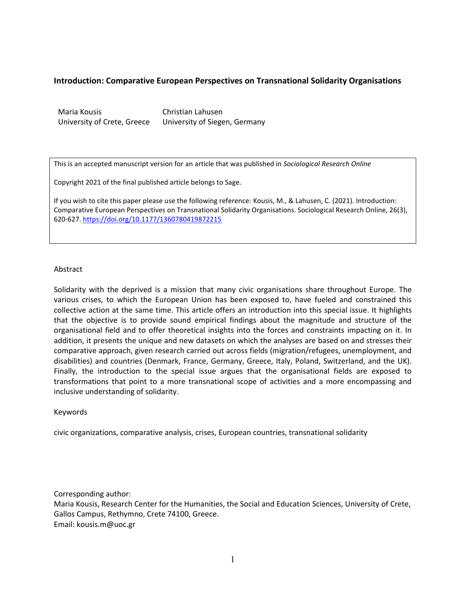# **Introduction: Comparative European Perspectives on Transnational Solidarity Organisations**

Maria Kousis University of Crete, Greece Christian Lahusen University of Siegen, Germany

This is an accepted manuscript version for an article that was published in *Sociological Research Online* 

Copyright 2021 of the final published article belongs to Sage.

If you wish to cite this paper please use the following reference: Kousis, M., & Lahusen, C. (2021). Introduction: Comparative European Perspectives on Transnational Solidarity Organisations. Sociological Research Online, 26(3), 620-627. <https://doi.org/10.1177/1360780419872215>

### Abstract

Solidarity with the deprived is a mission that many civic organisations share throughout Europe. The various crises, to which the European Union has been exposed to, have fueled and constrained this collective action at the same time. This article offers an introduction into this special issue. It highlights that the objective is to provide sound empirical findings about the magnitude and structure of the organisational field and to offer theoretical insights into the forces and constraints impacting on it. In addition, it presents the unique and new datasets on which the analyses are based on and stresses their comparative approach, given research carried out across fields (migration/refugees, unemployment, and disabilities) and countries (Denmark, France, Germany, Greece, Italy, Poland, Switzerland, and the UK). Finally, the introduction to the special issue argues that the organisational fields are exposed to transformations that point to a more transnational scope of activities and a more encompassing and inclusive understanding of solidarity.

### Keywords

civic organizations, comparative analysis, crises, European countries, transnational solidarity

Corresponding author:

Maria Kousis, Research Center for the Humanities, the Social and Education Sciences, University of Crete, Gallos Campus, Rethymno, Crete 74100, Greece. Email: kousis.m@uoc.gr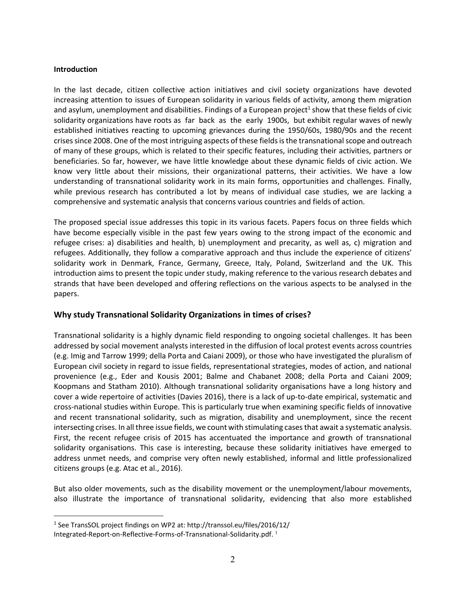### **Introduction**

 $\overline{a}$ 

In the last decade, citizen collective action initiatives and civil society organizations have devoted increasing attention to issues of European solidarity in various fields of activity, among them migration and asylum, unemployment and disabilities. Findings of a European project<sup>1</sup> show that these fields of civic solidarity organizations have roots as far back as the early 1900s, but exhibit regular waves of newly established initiatives reacting to upcoming grievances during the 1950/60s, 1980/90s and the recent crises since 2008. One of the most intriguing aspects of these fields is the transnational scope and outreach of many of these groups, which is related to their specific features, including their activities, partners or beneficiaries. So far, however, we have little knowledge about these dynamic fields of civic action. We know very little about their missions, their organizational patterns, their activities. We have a low understanding of transnational solidarity work in its main forms, opportunities and challenges. Finally, while previous research has contributed a lot by means of individual case studies, we are lacking a comprehensive and systematic analysis that concerns various countries and fields of action.

The proposed special issue addresses this topic in its various facets. Papers focus on three fields which have become especially visible in the past few years owing to the strong impact of the economic and refugee crises: a) disabilities and health, b) unemployment and precarity, as well as, c) migration and refugees. Additionally, they follow a comparative approach and thus include the experience of citizens' solidarity work in Denmark, France, Germany, Greece, Italy, Poland, Switzerland and the UK. This introduction aims to present the topic under study, making reference to the various research debates and strands that have been developed and offering reflections on the various aspects to be analysed in the papers.

# **Why study Transnational Solidarity Organizations in times of crises?**

Transnational solidarity is a highly dynamic field responding to ongoing societal challenges. It has been addressed by social movement analysts interested in the diffusion of local protest events across countries (e.g. Imig and Tarrow 1999; della Porta and Caiani 2009), or those who have investigated the pluralism of European civil society in regard to issue fields, representational strategies, modes of action, and national provenience (e.g., Eder and Kousis 2001; Balme and Chabanet 2008; della Porta and Caiani 2009; Koopmans and Statham 2010). Although transnational solidarity organisations have a long history and cover a wide repertoire of activities (Davies 2016), there is a lack of up-to-date empirical, systematic and cross-national studies within Europe. This is particularly true when examining specific fields of innovative and recent transnational solidarity, such as migration, disability and unemployment, since the recent intersecting crises. In all three issue fields, we count with stimulating cases that await a systematic analysis. First, the recent refugee crisis of 2015 has accentuated the importance and growth of transnational solidarity organisations. This case is interesting, because these solidarity initiatives have emerged to address unmet needs, and comprise very often newly established, informal and little professionalized citizens groups (e.g. Atac et al., 2016).

But also older movements, such as the disability movement or the unemployment/labour movements, also illustrate the importance of transnational solidarity, evidencing that also more established

<sup>&</sup>lt;sup>1</sup> See TransSOL project findings on WP2 at: http://transsol.eu/files/2016/12/ Integrated-Report-on-Reflective-Forms-of-Transnational-Solidarity.pdf.  $^1$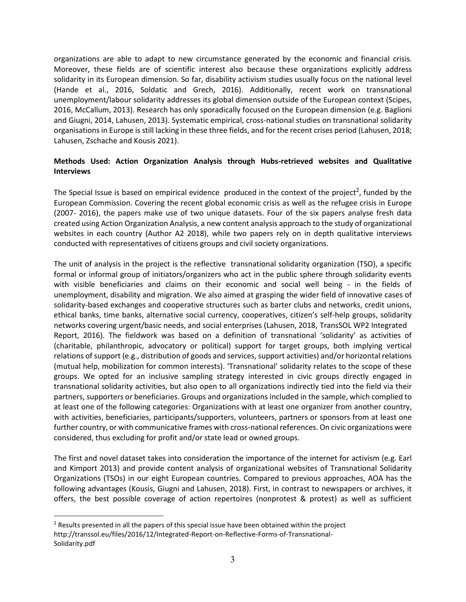organizations are able to adapt to new circumstance generated by the economic and financial crisis. Moreover, these fields are of scientific interest also because these organizations explicitly address solidarity in its European dimension. So far, disability activism studies usually focus on the national level (Hande et al., 2016, Soldatic and Grech, 2016). Additionally, recent work on transnational unemployment/labour solidarity addresses its global dimension outside of the European context (Scipes, 2016, McCallum, 2013). Research has only sporadically focused on the European dimension (e.g. Baglioni and Giugni, 2014, Lahusen, 2013). Systematic empirical, cross-national studies on transnational solidarity organisations in Europe is still lacking in these three fields, and for the recent crises period (Lahusen, 2018; Lahusen, Zschache and Kousis 2021).

# **Methods Used: Action Organization Analysis through Hubs-retrieved websites and Qualitative Interviews**

The Special Issue is based on empirical evidence produced in the context of the project<sup>2</sup>, funded by the European Commission. Covering the recent global economic crisis as well as the refugee crisis in Europe (2007- 2016), the papers make use of two unique datasets. Four of the six papers analyse fresh data created using Action Organization Analysis, a new content analysis approach to the study of organizational websites in each country (Author A2 2018), while two papers rely on in depth qualitative interviews conducted with representatives of citizens groups and civil society organizations.

The unit of analysis in the project is the reflective transnational solidarity organization (TSO), a specific formal or informal group of initiators/organizers who act in the public sphere through solidarity events with visible beneficiaries and claims on their economic and social well being - in the fields of unemployment, disability and migration. We also aimed at grasping the wider field of innovative cases of solidarity-based exchanges and cooperative structures such as barter clubs and networks, credit unions, ethical banks, time banks, alternative social currency, cooperatives, citizen's self-help groups, solidarity networks covering urgent/basic needs, and social enterprises (Lahusen, 2018, TransSOL WP2 Integrated Report, 2016). The fieldwork was based on a definition of transnational 'solidarity' as activities of (charitable, philanthropic, advocatory or political) support for target groups, both implying vertical relations of support (e.g., distribution of goods and services, support activities) and/or horizontal relations (mutual help, mobilization for common interests). 'Transnational' solidarity relates to the scope of these groups. We opted for an inclusive sampling strategy interested in civic groups directly engaged in transnational solidarity activities, but also open to all organizations indirectly tied into the field via their partners, supporters or beneficiaries. Groups and organizations included in the sample, which complied to at least one of the following categories: Organizations with at least one organizer from another country, with activities, beneficiaries, participants/supporters, volunteers, partners or sponsors from at least one further country, or with communicative frames with cross-national references. On civic organizations were considered, thus excluding for profit and/or state lead or owned groups.

The first and novel dataset takes into consideration the importance of the internet for activism (e.g. Earl and Kimport 2013) and provide content analysis of organizational websites of Transnational Solidarity Organizations (TSOs) in our eight European countries. Compared to previous approaches, AOA has the following advantages (Kousis, Giugni and Lahusen, 2018). First, in contrast to newspapers or archives, it offers, the best possible coverage of action repertoires (nonprotest & protest) as well as sufficient

 $\overline{a}$ 

<sup>&</sup>lt;sup>2</sup> Results presented in all the papers of this special issue have been obtained within the project http://transsol.eu/files/2016/12/Integrated-Report-on-Reflective-Forms-of-Transnational-Solidarity.pdf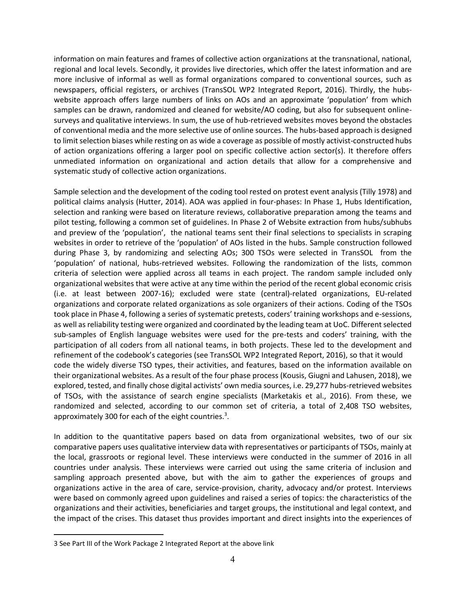information on main features and frames of collective action organizations at the transnational, national, regional and local levels. Secondly, it provides live directories, which offer the latest information and are more inclusive of informal as well as formal organizations compared to conventional sources, such as newspapers, official registers, or archives (TransSOL WP2 Integrated Report, 2016). Thirdly, the hubswebsite approach offers large numbers of links on AOs and an approximate 'population' from which samples can be drawn, randomized and cleaned for website/AO coding, but also for subsequent onlinesurveys and qualitative interviews. In sum, the use of hub-retrieved websites moves beyond the obstacles of conventional media and the more selective use of online sources. The hubs-based approach is designed to limit selection biases while resting on as wide a coverage as possible of mostly activist-constructed hubs of action organizations offering a larger pool on specific collective action sector(s). It therefore offers unmediated information on organizational and action details that allow for a comprehensive and systematic study of collective action organizations.

Sample selection and the development of the coding tool rested on protest event analysis (Tilly 1978) and political claims analysis (Hutter, 2014). AOA was applied in four-phases: In Phase 1, Hubs Identification, selection and ranking were based on literature reviews, collaborative preparation among the teams and pilot testing, following a common set of guidelines. In Phase 2 of Website extraction from hubs/subhubs and preview of the 'population', the national teams sent their final selections to specialists in scraping websites in order to retrieve of the 'population' of AOs listed in the hubs. Sample construction followed during Phase 3, by randomizing and selecting AOs; 300 TSOs were selected in TransSOL from the 'population' of national, hubs-retrieved websites. Following the randomization of the lists, common criteria of selection were applied across all teams in each project. The random sample included only organizational websites that were active at any time within the period of the recent global economic crisis (i.e. at least between 2007-16); excluded were state (central)-related organizations, EU-related organizations and corporate related organizations as sole organizers of their actions. Coding of the TSOs took place in Phase 4, following a series of systematic pretests, coders' training workshops and e-sessions, as well as reliability testing were organized and coordinated by the leading team at UoC. Different selected sub-samples of English language websites were used for the pre-tests and coders' training, with the participation of all coders from all national teams, in both projects. These led to the development and refinement of the codebook's categories (see TransSOL WP2 Integrated Report, 2016), so that it would code the widely diverse TSO types, their activities, and features, based on the information available on their organizational websites. As a result of the four phase process (Kousis, Giugni and Lahusen, 2018), we explored, tested, and finally chose digital activists' own media sources, i.e. 29,277 hubs-retrieved websites of TSOs, with the assistance of search engine specialists (Marketakis et al., 2016). From these, we randomized and selected, according to our common set of criteria, a total of 2,408 TSO websites, approximately 300 for each of the eight countries. $3$ .

In addition to the quantitative papers based on data from organizational websites, two of our six comparative papers uses qualitative interview data with representatives or participants of TSOs, mainly at the local, grassroots or regional level. These interviews were conducted in the summer of 2016 in all countries under analysis. These interviews were carried out using the same criteria of inclusion and sampling approach presented above, but with the aim to gather the experiences of groups and organizations active in the area of care, service-provision, charity, advocacy and/or protest. Interviews were based on commonly agreed upon guidelines and raised a series of topics: the characteristics of the organizations and their activities, beneficiaries and target groups, the institutional and legal context, and the impact of the crises. This dataset thus provides important and direct insights into the experiences of

 $\overline{a}$ 

<sup>3</sup> See Part III of the Work Package 2 Integrated Report at the above link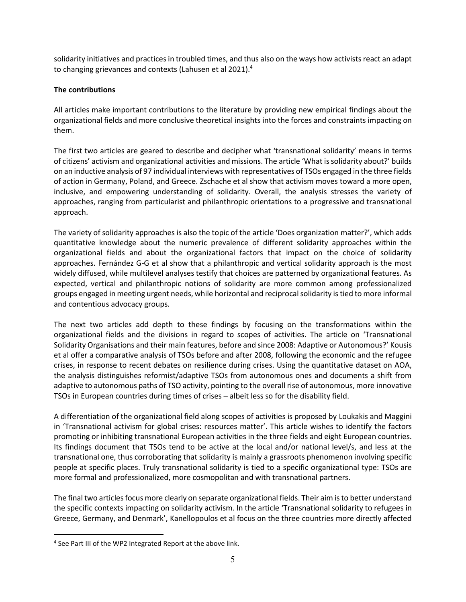solidarity initiatives and practices in troubled times, and thus also on the ways how activists react an adapt to changing grievances and contexts (Lahusen et al 2021). 4

# **The contributions**

All articles make important contributions to the literature by providing new empirical findings about the organizational fields and more conclusive theoretical insights into the forces and constraints impacting on them.

The first two articles are geared to describe and decipher what 'transnational solidarity' means in terms of citizens' activism and organizational activities and missions. The article 'What is solidarity about?' builds on an inductive analysis of 97 individual interviews with representatives of TSOs engaged in the three fields of action in Germany, Poland, and Greece. Zschache et al show that activism moves toward a more open, inclusive, and empowering understanding of solidarity. Overall, the analysis stresses the variety of approaches, ranging from particularist and philanthropic orientations to a progressive and transnational approach.

The variety of solidarity approaches is also the topic of the article 'Does organization matter?', which adds quantitative knowledge about the numeric prevalence of different solidarity approaches within the organizational fields and about the organizational factors that impact on the choice of solidarity approaches. Fernández G-G et al show that a philanthropic and vertical solidarity approach is the most widely diffused, while multilevel analyses testify that choices are patterned by organizational features. As expected, vertical and philanthropic notions of solidarity are more common among professionalized groups engaged in meeting urgent needs, while horizontal and reciprocal solidarity istied to more informal and contentious advocacy groups.

The next two articles add depth to these findings by focusing on the transformations within the organizational fields and the divisions in regard to scopes of activities. The article on 'Transnational Solidarity Organisations and their main features, before and since 2008: Adaptive or Autonomous?' Kousis et al offer a comparative analysis of TSOs before and after 2008, following the economic and the refugee crises, in response to recent debates on resilience during crises. Using the quantitative dataset on AOA, the analysis distinguishes reformist/adaptive TSOs from autonomous ones and documents a shift from adaptive to autonomous paths of TSO activity, pointing to the overall rise of autonomous, more innovative TSOs in European countries during times of crises – albeit less so for the disability field.

A differentiation of the organizational field along scopes of activities is proposed by Loukakis and Maggini in 'Transnational activism for global crises: resources matter'. This article wishes to identify the factors promoting or inhibiting transnational European activities in the three fields and eight European countries. Its findings document that TSOs tend to be active at the local and/or national level/s, and less at the transnational one, thus corroborating that solidarity is mainly a grassroots phenomenon involving specific people at specific places. Truly transnational solidarity is tied to a specific organizational type: TSOs are more formal and professionalized, more cosmopolitan and with transnational partners.

The final two articles focus more clearly on separate organizational fields. Their aim is to better understand the specific contexts impacting on solidarity activism. In the article 'Transnational solidarity to refugees in Greece, Germany, and Denmark', Kanellopoulos et al focus on the three countries more directly affected

 $\overline{a}$ 

<sup>&</sup>lt;sup>4</sup> See Part III of the WP2 Integrated Report at the above link.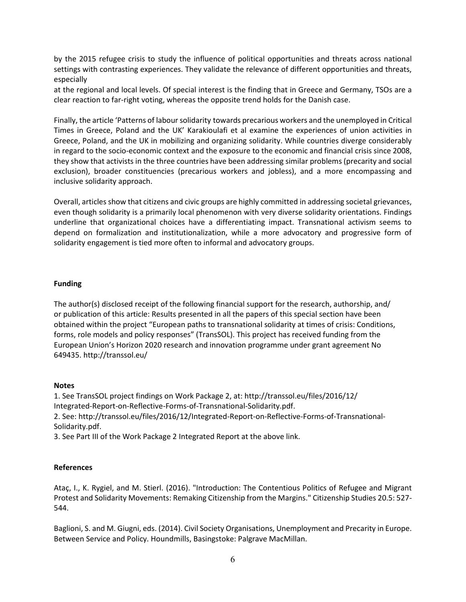by the 2015 refugee crisis to study the influence of political opportunities and threats across national settings with contrasting experiences. They validate the relevance of different opportunities and threats, especially

at the regional and local levels. Of special interest is the finding that in Greece and Germany, TSOs are a clear reaction to far-right voting, whereas the opposite trend holds for the Danish case.

Finally, the article 'Patterns of labour solidarity towards precarious workers and the unemployed in Critical Times in Greece, Poland and the UK' Karakioulafi et al examine the experiences of union activities in Greece, Poland, and the UK in mobilizing and organizing solidarity. While countries diverge considerably in regard to the socio-economic context and the exposure to the economic and financial crisis since 2008, they show that activists in the three countries have been addressing similar problems (precarity and social exclusion), broader constituencies (precarious workers and jobless), and a more encompassing and inclusive solidarity approach.

Overall, articles show that citizens and civic groups are highly committed in addressing societal grievances, even though solidarity is a primarily local phenomenon with very diverse solidarity orientations. Findings underline that organizational choices have a differentiating impact. Transnational activism seems to depend on formalization and institutionalization, while a more advocatory and progressive form of solidarity engagement is tied more often to informal and advocatory groups.

## **Funding**

The author(s) disclosed receipt of the following financial support for the research, authorship, and/ or publication of this article: Results presented in all the papers of this special section have been obtained within the project "European paths to transnational solidarity at times of crisis: Conditions, forms, role models and policy responses" (TransSOL). This project has received funding from the European Union's Horizon 2020 research and innovation programme under grant agreement No 649435. http://transsol.eu/

## **Notes**

1. See TransSOL project findings on Work Package 2, at: http://transsol.eu/files/2016/12/ Integrated-Report-on-Reflective-Forms-of-Transnational-Solidarity.pdf. 2. See: http://transsol.eu/files/2016/12/Integrated-Report-on-Reflective-Forms-of-Transnational-Solidarity.pdf.

3. See Part III of the Work Package 2 Integrated Report at the above link.

## **References**

Ataç, I., K. Rygiel, and M. Stierl. (2016). "Introduction: The Contentious Politics of Refugee and Migrant Protest and Solidarity Movements: Remaking Citizenship from the Margins." Citizenship Studies 20.5: 527- 544.

Baglioni, S. and M. Giugni, eds. (2014). Civil Society Organisations, Unemployment and Precarity in Europe. Between Service and Policy. Houndmills, Basingstoke: Palgrave MacMillan.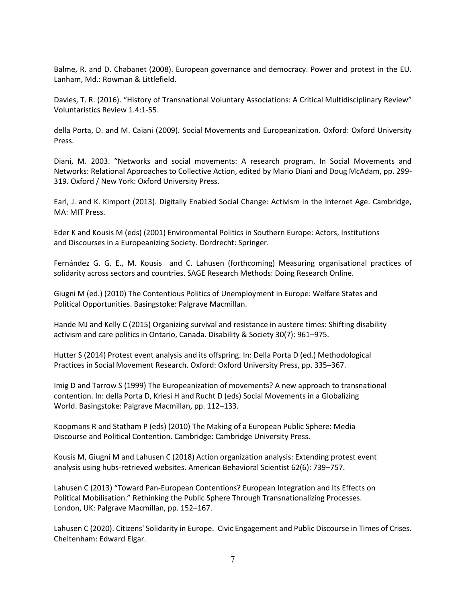Balme, R. and D. Chabanet (2008). European governance and democracy. Power and protest in the EU. Lanham, Md.: Rowman & Littlefield.

Davies, T. R. (2016). "History of Transnational Voluntary Associations: A Critical Multidisciplinary Review" Voluntaristics Review 1.4:1-55.

della Porta, D. and M. Caiani (2009). Social Movements and Europeanization. Oxford: Oxford University Press.

Diani, M. 2003. "Networks and social movements: A research program. In Social Movements and Networks: Relational Approaches to Collective Action, edited by Mario Diani and Doug McAdam, pp. 299- 319. Oxford / New York: Oxford University Press.

Earl, J. and K. Kimport (2013). Digitally Enabled Social Change: Activism in the Internet Age. Cambridge, MA: MIT Press.

Eder K and Kousis M (eds) (2001) Environmental Politics in Southern Europe: Actors, Institutions and Discourses in a Europeanizing Society. Dordrecht: Springer.

Fernández G. G. E., M. Kousis and C. Lahusen (forthcoming) Measuring organisational practices of solidarity across sectors and countries. SAGE Research Methods: Doing Research Online.

Giugni M (ed.) (2010) The Contentious Politics of Unemployment in Europe: Welfare States and Political Opportunities. Basingstoke: Palgrave Macmillan.

Hande MJ and Kelly C (2015) Organizing survival and resistance in austere times: Shifting disability activism and care politics in Ontario, Canada. Disability & Society 30(7): 961–975.

Hutter S (2014) Protest event analysis and its offspring. In: Della Porta D (ed.) Methodological Practices in Social Movement Research. Oxford: Oxford University Press, pp. 335–367.

Imig D and Tarrow S (1999) The Europeanization of movements? A new approach to transnational contention. In: della Porta D, Kriesi H and Rucht D (eds) Social Movements in a Globalizing World. Basingstoke: Palgrave Macmillan, pp. 112–133.

Koopmans R and Statham P (eds) (2010) The Making of a European Public Sphere: Media Discourse and Political Contention. Cambridge: Cambridge University Press.

Kousis M, Giugni M and Lahusen C (2018) Action organization analysis: Extending protest event analysis using hubs-retrieved websites. American Behavioral Scientist 62(6): 739–757.

Lahusen C (2013) "Toward Pan-European Contentions? European Integration and Its Effects on Political Mobilisation." Rethinking the Public Sphere Through Transnationalizing Processes. London, UK: Palgrave Macmillan, pp. 152–167.

Lahusen C (2020). Citizens' Solidarity in Europe. Civic Engagement and Public Discourse in Times of Crises. Cheltenham: Edward Elgar.